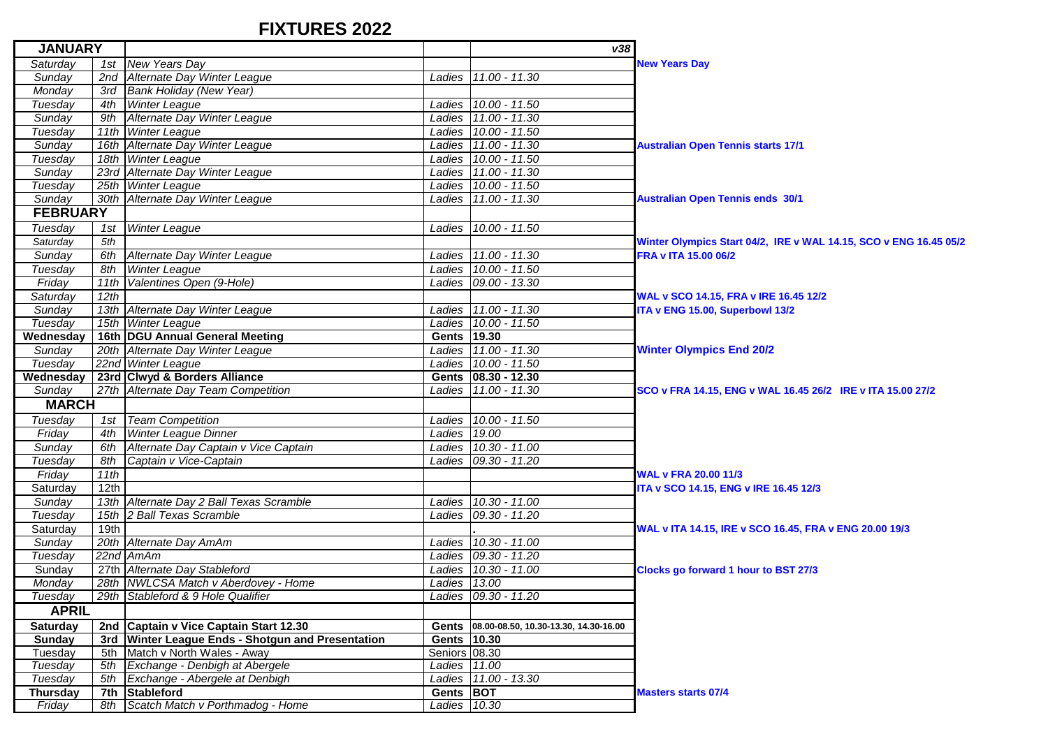## **FIXTURES 2022**

| <b>JANUARY</b>  |      |                                                      |               | v38                                         |                                                                   |
|-----------------|------|------------------------------------------------------|---------------|---------------------------------------------|-------------------------------------------------------------------|
| Saturday        |      | 1st New Years Day                                    |               |                                             | <b>New Years Day</b>                                              |
| Sunday          | 2nd  | Alternate Day Winter League                          |               | Ladies 11.00 - 11.30                        |                                                                   |
| Monday          | 3rd  | <b>Bank Holiday (New Year)</b>                       |               |                                             |                                                                   |
| Tuesday         | 4th  | <b>Winter League</b>                                 |               | Ladies 10.00 - 11.50                        |                                                                   |
| Sunday          | 9th  | Alternate Day Winter League                          |               | Ladies 11.00 - 11.30                        |                                                                   |
| Tuesday         |      | 11th Winter League                                   |               | Ladies 10.00 - 11.50                        |                                                                   |
| Sunday          |      | 16th Alternate Day Winter League                     |               | Ladies 11.00 - 11.30                        | <b>Australian Open Tennis starts 17/1</b>                         |
| Tuesday         |      | 18th Winter League                                   |               | Ladies 10.00 - 11.50                        |                                                                   |
| Sunday          |      | 23rd Alternate Day Winter League                     |               | Ladies 11.00 - 11.30                        |                                                                   |
| Tuesday         |      | 25th Winter League                                   |               | Ladies 10.00 - 11.50                        |                                                                   |
| Sunday          |      | 30th Alternate Day Winter League                     |               | Ladies 11.00 - 11.30                        | <b>Australian Open Tennis ends 30/1</b>                           |
| <b>FEBRUARY</b> |      |                                                      |               |                                             |                                                                   |
| Tuesday         | 1st  | <b>Winter League</b>                                 |               | Ladies 10.00 - 11.50                        |                                                                   |
| Saturday        | 5th  |                                                      |               |                                             | Winter Olympics Start 04/2, IRE v WAL 14.15, SCO v ENG 16.45 05/2 |
| Sunday          | 6th  | Alternate Day Winter League                          |               | Ladies 11.00 - 11.30                        | FRA v ITA 15.00 06/2                                              |
| Tuesday         | 8th  | <b>Winter League</b>                                 |               | Ladies 10.00 - 11.50                        |                                                                   |
| Friday          |      | 11th Valentines Open (9-Hole)                        |               | Ladies   09.00 - 13.30                      |                                                                   |
| Saturday        | 12th |                                                      |               |                                             | WAL v SCO 14.15, FRA v IRE 16.45 12/2                             |
| Sunday          |      | 13th Alternate Day Winter League                     |               | Ladies 11.00 - 11.30                        | ITA v ENG 15.00, Superbowl 13/2                                   |
| Tuesday         |      | 15th Winter League                                   |               | Ladies 10.00 - 11.50                        |                                                                   |
| Wednesday       |      | 16th DGU Annual General Meeting                      | Gents 19.30   |                                             |                                                                   |
| Sunday          |      | 20th Alternate Day Winter League                     |               | Ladies 11.00 - 11.30                        | <b>Winter Olympics End 20/2</b>                                   |
| Tuesday         |      | 22nd Winter League                                   |               | Ladies 10.00 - 11.50                        |                                                                   |
| Wednesday       |      | 23rd Clwyd & Borders Alliance                        |               | Gents   08.30 - 12.30                       |                                                                   |
| Sunday          |      | 27th Alternate Day Team Competition                  |               | Ladies 11.00 - 11.30                        | SCO v FRA 14.15, ENG v WAL 16.45 26/2 IRE v ITA 15.00 27/2        |
| <b>MARCH</b>    |      |                                                      |               |                                             |                                                                   |
| Tuesday         |      | 1st Team Competition                                 |               | Ladies 10.00 - 11.50                        |                                                                   |
| Friday          | 4th  | <b>Winter League Dinner</b>                          | Ladies 19.00  |                                             |                                                                   |
| Sunday          | 6th  | Alternate Day Captain v Vice Captain                 |               | Ladies 10.30 - 11.00                        |                                                                   |
| Tuesday         | 8th  | Captain v Vice-Captain                               |               | Ladies 09.30 - 11.20                        |                                                                   |
| Friday          | 11th |                                                      |               |                                             | <b>WAL v FRA 20.00 11/3</b>                                       |
| Saturday        | 12th |                                                      |               |                                             | ITA v SCO 14.15, ENG v IRE 16.45 12/3                             |
| Sunday          |      | 13th Alternate Day 2 Ball Texas Scramble             |               | Ladies 10.30 - 11.00                        |                                                                   |
| Tuesday         |      | 15th 2 Ball Texas Scramble                           |               | Ladies 09.30 - 11.20                        |                                                                   |
| Saturday        | 19th |                                                      |               |                                             | WAL v ITA 14.15, IRE v SCO 16.45, FRA v ENG 20.00 19/3            |
| Sunday          |      | 20th Alternate Day AmAm                              |               | Ladies 10.30 - 11.00                        |                                                                   |
| Tuesday         |      | 22nd AmAm                                            |               | Ladies 09.30 - 11.20                        |                                                                   |
| Sunday          |      | 27th Alternate Day Stableford                        |               | Ladies 10.30 - 11.00                        | Clocks go forward 1 hour to BST 27/3                              |
| Monday          |      | 28th NWLCSA Match v Aberdovey - Home                 | Ladies 13.00  |                                             |                                                                   |
| Tuesdav         |      | 29th Stableford & 9 Hole Qualifier                   |               | Ladies 09.30 - 11.20                        |                                                                   |
| <b>APRIL</b>    |      |                                                      |               |                                             |                                                                   |
| <b>Saturday</b> |      | 2nd Captain v Vice Captain Start 12.30               |               | Gents 08.00-08.50, 10.30-13.30, 14.30-16.00 |                                                                   |
| Sunday          | 3rd  | <b>Winter League Ends - Shotgun and Presentation</b> | Gents 10.30   |                                             |                                                                   |
| Tuesday         | 5th  | Match v North Wales - Away                           | Seniors 08.30 |                                             |                                                                   |
| Tuesday         | 5th  | Exchange - Denbigh at Abergele                       | Ladies 11.00  |                                             |                                                                   |
| Tuesday         | 5th  | Exchange - Abergele at Denbigh                       |               | Ladies 11.00 - 13.30                        |                                                                   |
| <b>Thursday</b> | 7th  | Stableford<br>Scatch Match v Porthmadog - Home       | Gents BOT     |                                             | <b>Masters starts 07/4</b>                                        |
| Friday          | 8th  |                                                      | Ladies 10.30  |                                             |                                                                   |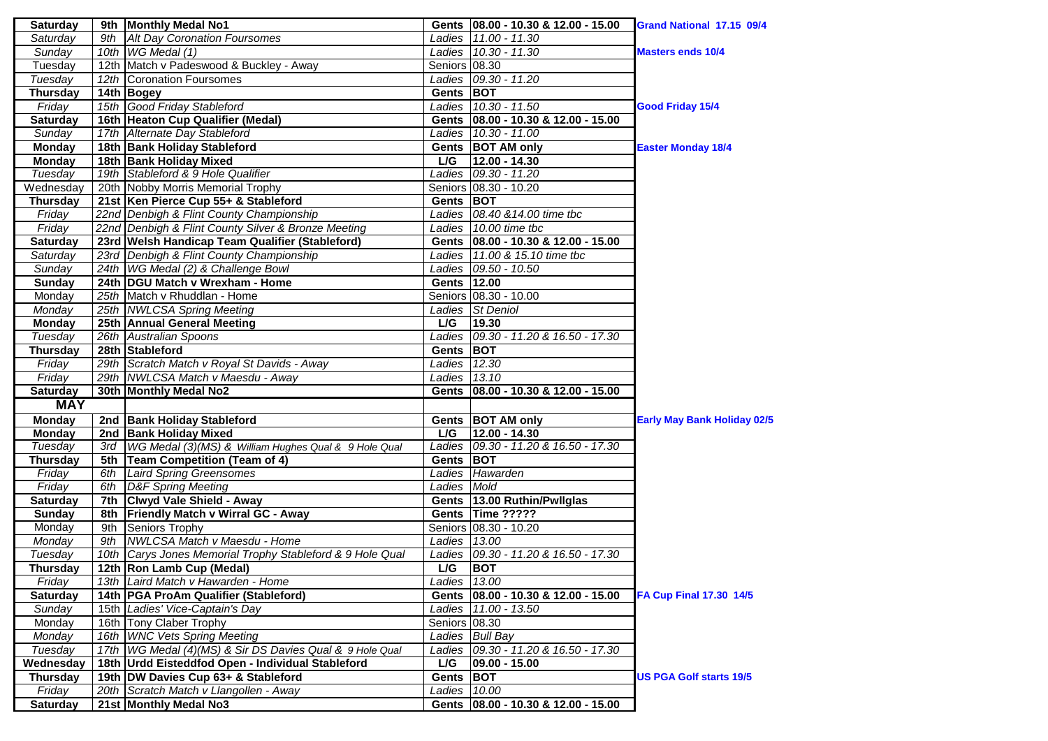| 9th Monthly Medal No1<br><b>Saturday</b><br>Gents   08.00 - 10.30 & 12.00 - 15.00                             | Grand National 17.15 09/4          |
|---------------------------------------------------------------------------------------------------------------|------------------------------------|
| Saturday<br>9th Alt Day Coronation Foursomes<br>Ladies 11.00 - 11.30                                          |                                    |
| 10th WG Medal (1)<br>Ladies 10.30 - 11.30<br>Sunday                                                           | <b>Masters ends 10/4</b>           |
| 12th Match v Padeswood & Buckley - Away<br>Seniors 08.30<br>Tuesday                                           |                                    |
| Tuesday<br>Ladies   09.30 - 11.20<br>12th Coronation Foursomes                                                |                                    |
| 14th Bogey<br>Gents BOT<br><b>Thursday</b>                                                                    |                                    |
| 15th Good Friday Stableford<br>Friday<br>Ladies 10.30 - 11.50                                                 | <b>Good Friday 15/4</b>            |
| 16th Heaton Cup Qualifier (Medal)<br>Gents 08.00 - 10.30 & 12.00 - 15.00<br><b>Saturday</b>                   |                                    |
| 17th Alternate Day Stableford<br>Sunday<br>Ladies 10.30 - 11.00                                               |                                    |
| <b>Monday</b><br>18th Bank Holiday Stableford<br>Gents BOT AM only                                            | <b>Easter Monday 18/4</b>          |
| L/G<br>12.00 - 14.30<br><b>Monday</b><br>18th Bank Holiday Mixed                                              |                                    |
| Tuesday<br>19th Stableford & 9 Hole Qualifier<br>Ladies 09.30 - 11.20                                         |                                    |
| 20th Nobby Morris Memorial Trophy<br>Wednesday<br>Seniors 08.30 - 10.20                                       |                                    |
| 21st Ken Pierce Cup 55+ & Stableford<br><b>Thursday</b><br>Gents BOT                                          |                                    |
| Ladies 08.40 & 14.00 time tbc<br>Friday<br>22nd Denbigh & Flint County Championship                           |                                    |
| Friday<br>22nd Denbigh & Flint County Silver & Bronze Meeting<br>Ladies 10.00 time tbc                        |                                    |
| 23rd Welsh Handicap Team Qualifier (Stableford)<br><b>Saturday</b><br>Gents   08.00 - 10.30 & 12.00 - 15.00   |                                    |
| 23rd Denbigh & Flint County Championship<br>Ladies 11.00 & 15.10 time tbc<br>Saturday                         |                                    |
| 24th WG Medal (2) & Challenge Bowl<br>Ladies 09.50 - 10.50<br>Sunday                                          |                                    |
| 24th DGU Match v Wrexham - Home<br><b>Sunday</b><br>Gents 12.00                                               |                                    |
| 25th Match v Rhuddlan - Home<br>Seniors 08.30 - 10.00<br>Monday                                               |                                    |
| 25th NWLCSA Spring Meeting<br>Ladies St Deniol<br>Monday                                                      |                                    |
| 19.30<br><b>Monday</b><br>25th Annual General Meeting<br>L/G                                                  |                                    |
| Tuesday<br>26th Australian Spoons<br>Ladies 09.30 - 11.20 & 16.50 - 17.30                                     |                                    |
| 28th Stableford<br>Gents BOT<br><b>Thursday</b>                                                               |                                    |
| Ladies 12.30<br>29th Scratch Match v Royal St Davids - Away<br>Friday                                         |                                    |
| Friday<br>29th NWLCSA Match v Maesdu - Away<br>Ladies $13.10$                                                 |                                    |
| <b>Saturday</b><br>30th Monthly Medal No2<br>Gents   08.00 - 10.30 & 12.00 - 15.00                            |                                    |
| <b>MAY</b>                                                                                                    |                                    |
| 2nd Bank Holiday Stableford<br><b>Monday</b><br>Gents   BOT AM only                                           | <b>Early May Bank Holiday 02/5</b> |
| $12.00 - 14.30$<br><b>Monday</b><br>2nd Bank Holiday Mixed<br>L/G                                             |                                    |
| 3rd WG Medal (3)(MS) & William Hughes Qual & 9 Hole Qual<br>Ladies 09.30 - 11.20 & 16.50 - 17.30<br>Tuesday   |                                    |
| 5th Team Competition (Team of 4)<br><b>Thursday</b><br>Gents BOT                                              |                                    |
| Friday<br>6th Laird Spring Greensomes<br>Ladies Hawarden                                                      |                                    |
| Friday<br>6th D&F Spring Meeting<br>Ladies Mold                                                               |                                    |
| 7th Clwyd Vale Shield - Away<br>Gents   13.00 Ruthin/Pwllglas<br><b>Saturday</b>                              |                                    |
| 8th Friendly Match v Wirral GC - Away<br>Gents Time ?????<br><b>Sunday</b>                                    |                                    |
| 9th Seniors Trophy<br>Seniors 08.30 - 10.20<br>Monday                                                         |                                    |
| 9th NWLCSA Match v Maesdu - Home<br>Ladies 13.00<br>Monday                                                    |                                    |
| 10th Carys Jones Memorial Trophy Stableford & 9 Hole Qual<br>Ladies 09.30 - 11.20 & 16.50 - 17.30<br>Tuesday  |                                    |
| <b>Thursday</b><br>12th Ron Lamb Cup (Medal)<br>L/G<br><b>BOT</b>                                             |                                    |
| Friday<br>13th Laird Match v Hawarden - Home<br>Ladies 13.00                                                  |                                    |
| 14th   PGA ProAm Qualifier (Stableford)<br>Gents 08.00 - 10.30 & 12.00 - 15.00<br><b>Saturday</b>             | FA Cup Final 17.30 14/5            |
| Sundav<br>15th Ladies' Vice-Captain's Day<br>Ladies 11.00 - 13.50                                             |                                    |
| 16th Tony Claber Trophy<br>Seniors 08.30<br>Monday                                                            |                                    |
| 16th WNC Vets Spring Meeting<br>Ladies Bull Bay<br>Monday                                                     |                                    |
| Ladies 09.30 - 11.20 & 16.50 - 17.30<br>Tuesday<br>17th   WG Medal (4)(MS) & Sir DS Davies Qual & 9 Hole Qual |                                    |
| Wednesday<br>18th Urdd Eisteddfod Open - Individual Stableford<br>L/G<br>$ 09.00 - 15.00 $                    |                                    |
| 19th DW Davies Cup 63+ & Stableford<br><b>Thursday</b><br>Gents BOT                                           |                                    |
|                                                                                                               | <b>US PGA Golf starts 19/5</b>     |
| 20th Scratch Match v Llangollen - Away<br>Friday<br>Ladies 10.00                                              |                                    |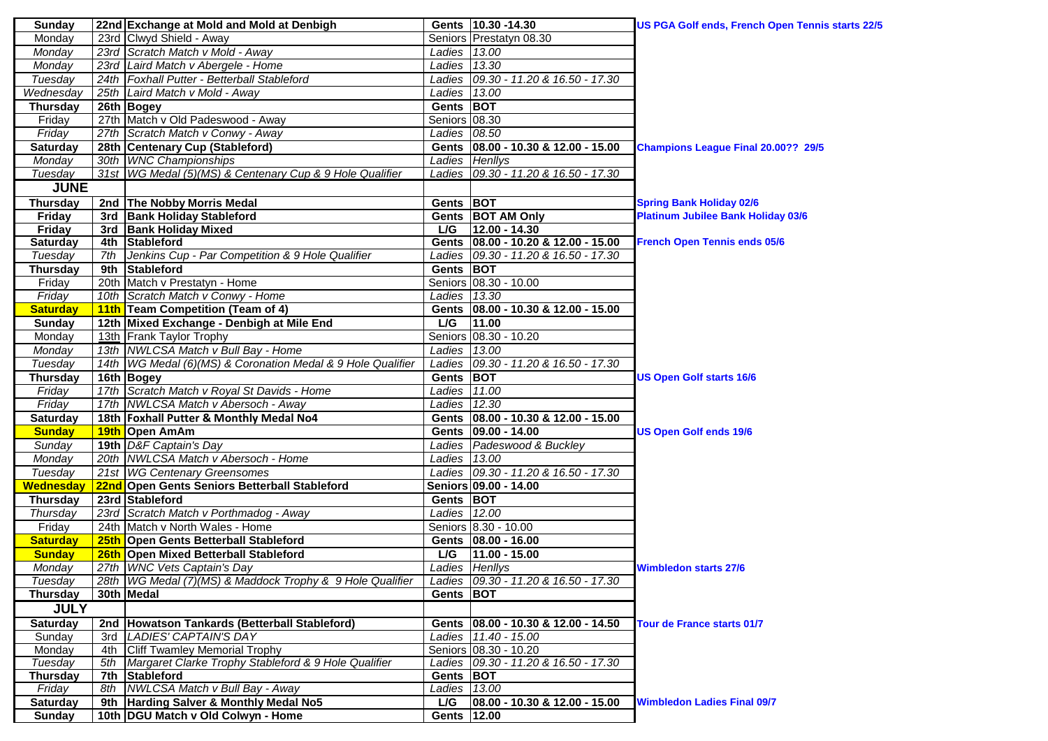| <b>Sunday</b>                    |            | 22nd Exchange at Mold and Mold at Denbigh                                      |                     | Gents 10.30 - 14.30                    | US PGA Golf ends, French Open Tennis starts 22/5 |
|----------------------------------|------------|--------------------------------------------------------------------------------|---------------------|----------------------------------------|--------------------------------------------------|
| Monday                           |            | 23rd Clwyd Shield - Away                                                       |                     | Seniors Prestatyn 08.30                |                                                  |
| Monday                           |            | 23rd Scratch Match v Mold - Away                                               | Ladies 13.00        |                                        |                                                  |
| Monday                           |            | 23rd Laird Match v Abergele - Home                                             | Ladies 13.30        |                                        |                                                  |
| Tuesday                          |            | 24th   Foxhall Putter - Betterball Stableford                                  |                     | Ladies 09.30 - 11.20 & 16.50 - 17.30   |                                                  |
| Wednesday                        |            | 25th Laird Match v Mold - Away                                                 | Ladies 13.00        |                                        |                                                  |
| <b>Thursday</b>                  |            | 26th Bogey                                                                     | Gents BOT           |                                        |                                                  |
| Friday                           |            | 27th Match v Old Padeswood - Away                                              | Seniors 08.30       |                                        |                                                  |
| Friday                           |            | 27th Scratch Match v Conwy - Away                                              | Ladies 08.50        |                                        |                                                  |
| <b>Saturday</b>                  |            | 28th Centenary Cup (Stableford)                                                |                     | Gents   08.00 - 10.30 & 12.00 - 15.00  | Champions League Final 20.00?? 29/5              |
| Monday                           |            | 30th WNC Championships                                                         |                     | Ladies Henllys                         |                                                  |
| Tuesday                          |            | 31st   WG Medal (5)(MS) & Centenary Cup & 9 Hole Qualifier                     |                     | Ladies 09.30 - 11.20 & 16.50 - 17.30   |                                                  |
| <b>JUNE</b>                      |            |                                                                                |                     |                                        |                                                  |
| <b>Thursday</b>                  |            | 2nd The Nobby Morris Medal                                                     | Gents BOT           |                                        | <b>Spring Bank Holiday 02/6</b>                  |
| Friday                           | 3rd        | <b>Bank Holiday Stableford</b>                                                 |                     | Gents BOT AM Only                      | <b>Platinum Jubilee Bank Holiday 03/6</b>        |
| <b>Friday</b>                    |            | 3rd Bank Holiday Mixed                                                         | L/G                 | $12.00 - 14.30$                        |                                                  |
| <b>Saturday</b>                  |            | 4th Stableford                                                                 |                     | Gents 08.00 - 10.20 & 12.00 - 15.00    | <b>French Open Tennis ends 05/6</b>              |
| Tuesday                          | 7th        | Jenkins Cup - Par Competition & 9 Hole Qualifier                               |                     | Ladies 09.30 - 11.20 & 16.50 - 17.30   |                                                  |
| <b>Thursday</b>                  | 9th        | <b>Stableford</b>                                                              | Gents BOT           |                                        |                                                  |
| Friday                           |            | 20th Match v Prestatyn - Home                                                  |                     | Seniors 08.30 - 10.00                  |                                                  |
| Friday                           |            | 10th Scratch Match v Conwy - Home                                              | Ladies 13.30        |                                        |                                                  |
| <b>Saturday</b>                  |            | 11th Team Competition (Team of 4)                                              |                     | Gents   08.00 - 10.30 & 12.00 - 15.00  |                                                  |
| <b>Sunday</b>                    |            | 12th Mixed Exchange - Denbigh at Mile End                                      | L/G                 | 11.00                                  |                                                  |
| Monday                           |            | 13th Frank Taylor Trophy                                                       |                     | Seniors 08.30 - 10.20                  |                                                  |
| Monday                           |            | 13th   NWLCSA Match v Bull Bay - Home                                          | Ladies 13.00        |                                        |                                                  |
| Tuesday                          |            | 14th   WG Medal (6)(MS) & Coronation Medal & 9 Hole Qualifier                  |                     | Ladies 09.30 - 11.20 & 16.50 - 17.30   |                                                  |
| <b>Thursday</b>                  |            | 16th Bogey                                                                     | Gents BOT           |                                        | <b>US Open Golf starts 16/6</b>                  |
| Friday                           |            | 17th Scratch Match v Royal St Davids - Home                                    | Ladies 11.00        |                                        |                                                  |
| Friday                           |            | 17th NWLCSA Match v Abersoch - Away                                            | Ladies $12.30$      |                                        |                                                  |
| <b>Saturday</b>                  |            | 18th Foxhall Putter & Monthly Medal No4                                        |                     | Gents   08.00 - 10.30 & 12.00 - 15.00  |                                                  |
| <b>Sunday</b>                    |            | 19th Open AmAm                                                                 |                     | Gents   09.00 - 14.00                  | <b>US Open Golf ends 19/6</b>                    |
| Sunday                           |            | 19th D&F Captain's Day                                                         |                     | Ladies Padeswood & Buckley             |                                                  |
| Monday                           |            | 20th NWLCSA Match v Abersoch - Home                                            |                     |                                        |                                                  |
| Tuesday                          |            |                                                                                |                     | Ladies 13.00                           |                                                  |
|                                  |            | 21st WG Centenary Greensomes                                                   |                     | Ladies 09.30 - 11.20 & 16.50 - 17.30   |                                                  |
|                                  |            |                                                                                |                     |                                        |                                                  |
| Wednesday<br><b>Thursday</b>     |            | 22nd Open Gents Seniors Betterball Stableford<br>23rd Stableford               | Gents BOT           | Seniors 09.00 - 14.00                  |                                                  |
| Thursday                         |            |                                                                                | Ladies 12.00        |                                        |                                                  |
|                                  |            | 23rd Scratch Match v Porthmadog - Away<br>24th Match v North Wales - Home      |                     | Seniors 8.30 - 10.00                   |                                                  |
| Friday                           |            |                                                                                |                     | Gents   08.00 - 16.00                  |                                                  |
| <b>Saturday</b><br><b>Sunday</b> |            | 25th Open Gents Betterball Stableford<br>26th Open Mixed Betterball Stableford | L/G                 | $11.00 - 15.00$                        |                                                  |
| Monday                           |            | 27th WNC Vets Captain's Day                                                    |                     | Ladies Henllys                         | <b>Wimbledon starts 27/6</b>                     |
| Tuesday                          |            | 28th   WG Medal (7)(MS) & Maddock Trophy & 9 Hole Qualifier                    |                     |                                        |                                                  |
|                                  |            | 30th Medal                                                                     | Gents BOT           | Ladies   09.30 - 11.20 & 16.50 - 17.30 |                                                  |
| Thursday                         |            |                                                                                |                     |                                        |                                                  |
| <b>JULY</b>                      |            |                                                                                |                     |                                        |                                                  |
| <b>Saturday</b>                  | 2nd        | Howatson Tankards (Betterball Stableford)                                      |                     | Gents   08.00 - 10.30 & 12.00 - 14.50  | <b>Tour de France starts 01/7</b>                |
| Sunday                           | 3rd        | <b>LADIES' CAPTAIN'S DAY</b>                                                   |                     | Ladies 11.40 - 15.00                   |                                                  |
| Monday                           | 4th        | <b>Cliff Twamley Memorial Trophy</b>                                           |                     | Seniors 08.30 - 10.20                  |                                                  |
| Tuesday                          | 5th        | Margaret Clarke Trophy Stableford & 9 Hole Qualifier                           | Gents BOT           | Ladies 09.30 - 11.20 & 16.50 - 17.30   |                                                  |
| <b>Thursday</b>                  | 7th<br>8th | Stableford<br>NWLCSA Match v Bull Bay - Away                                   |                     |                                        |                                                  |
| Friday                           | 9th        |                                                                                | Ladies 13.00<br>L/G | 08.00 - 10.30 & 12.00 - 15.00          | <b>Wimbledon Ladies Final 09/7</b>               |
| <b>Saturday</b><br><b>Sunday</b> |            | Harding Salver & Monthly Medal No5<br>10th   DGU Match v Old Colwyn - Home     | Gents 12.00         |                                        |                                                  |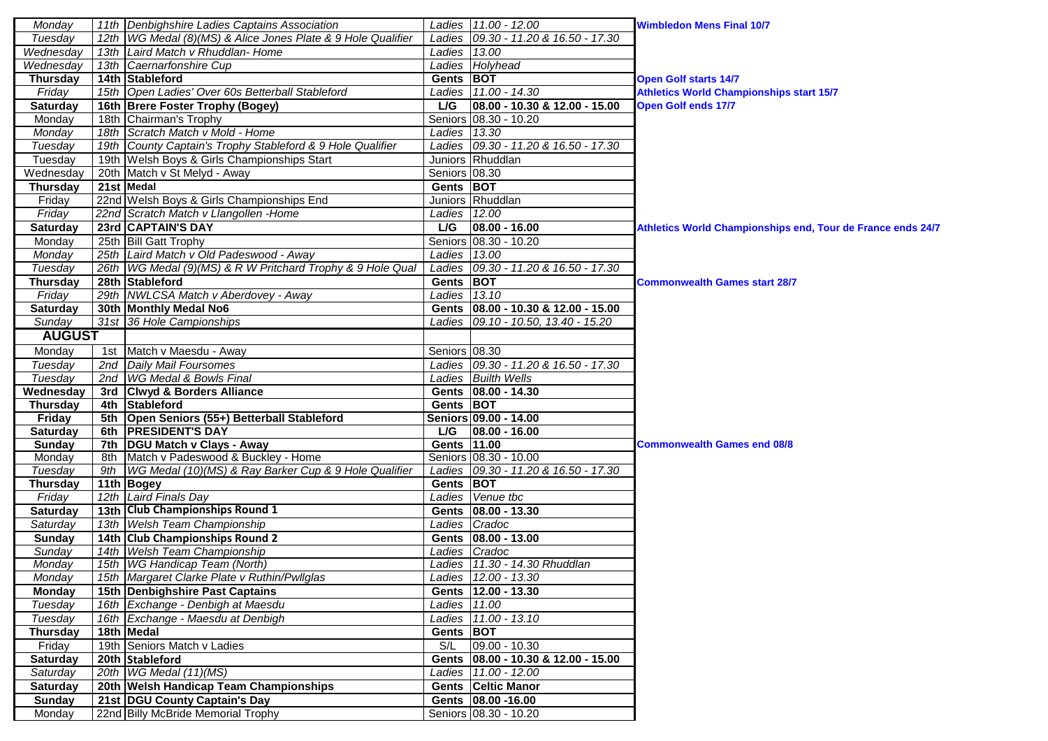| Monday                    | 11th Denbighshire Ladies Captains Association                                                         |               | Ladies 11.00 - 12.00                                          | <b>Wimbledon Mens Final 10/7</b>                            |
|---------------------------|-------------------------------------------------------------------------------------------------------|---------------|---------------------------------------------------------------|-------------------------------------------------------------|
| Tuesdav                   | 12th   WG Medal (8)(MS) & Alice Jones Plate & 9 Hole Qualifier                                        |               | Ladies 09.30 - 11.20 & 16.50 - 17.30                          |                                                             |
| Wednesday                 | 13th Laird Match v Rhuddlan-Home                                                                      | Ladies 13.00  |                                                               |                                                             |
| Wednesday                 | 13th Caernarfonshire Cup                                                                              |               | Ladies Holyhead                                               |                                                             |
| <b>Thursday</b>           | 14th Stableford                                                                                       | Gents BOT     |                                                               | <b>Open Golf starts 14/7</b>                                |
| Friday                    | 15th Open Ladies' Over 60s Betterball Stableford                                                      |               | Ladies 11.00 - 14.30                                          | <b>Athletics World Championships start 15/7</b>             |
| <b>Saturday</b>           | 16th Brere Foster Trophy (Bogey)                                                                      | L/G           | 08.00 - 10.30 & 12.00 - 15.00                                 | <b>Open Golf ends 17/7</b>                                  |
| Monday                    | 18th Chairman's Trophy                                                                                |               | Seniors 08.30 - 10.20                                         |                                                             |
| Monday                    | 18th Scratch Match v Mold - Home                                                                      | Ladies 13.30  |                                                               |                                                             |
| Tuesday                   | 19th County Captain's Trophy Stableford & 9 Hole Qualifier                                            |               | Ladies 09.30 - 11.20 & 16.50 - 17.30                          |                                                             |
| Tuesday                   | 19th Welsh Boys & Girls Championships Start                                                           |               | Juniors Rhuddlan                                              |                                                             |
| Wednesday                 | 20th Match v St Melyd - Away                                                                          | Seniors 08.30 |                                                               |                                                             |
| <b>Thursday</b>           | 21st Medal                                                                                            | Gents BOT     |                                                               |                                                             |
| Friday                    | 22nd Welsh Boys & Girls Championships End                                                             |               | Juniors Rhuddlan                                              |                                                             |
| Friday                    | 22nd Scratch Match v Llangollen -Home                                                                 | Ladies 12.00  |                                                               |                                                             |
| <b>Saturday</b>           | 23rd CAPTAIN'S DAY                                                                                    | L/G           | $ 08.00 - 16.00$                                              | Athletics World Championships end, Tour de France ends 24/7 |
| Monday                    | 25th Bill Gatt Trophy                                                                                 |               | Seniors 08.30 - 10.20                                         |                                                             |
| Monday                    | 25th Laird Match v Old Padeswood - Away                                                               | Ladies 13.00  |                                                               |                                                             |
| Tuesday                   | 26th   WG Medal (9)(MS) & R W Pritchard Trophy & 9 Hole Qual                                          |               | Ladies 09.30 - 11.20 & 16.50 - 17.30                          |                                                             |
| <b>Thursday</b>           | 28th Stableford                                                                                       | Gents BOT     |                                                               | <b>Commonwealth Games start 28/7</b>                        |
| Friday                    | 29th NWLCSA Match v Aberdovey - Away                                                                  | Ladies 13.10  |                                                               |                                                             |
| <b>Saturday</b>           | 30th Monthly Medal No6                                                                                |               | Gents 08.00 - 10.30 & 12.00 - 15.00                           |                                                             |
| Sunday                    | 31st 36 Hole Campionships                                                                             |               | Ladies 09.10 - 10.50, 13.40 - 15.20                           |                                                             |
| <b>AUGUST</b>             |                                                                                                       |               |                                                               |                                                             |
| Monday                    | 1st Match v Maesdu - Away                                                                             | Seniors 08.30 |                                                               |                                                             |
| Tuesday                   | 2nd Daily Mail Foursomes                                                                              |               | Ladies 09.30 - 11.20 & 16.50 - 17.30                          |                                                             |
| Tuesday                   | 2nd   WG Medal & Bowls Final                                                                          |               | Ladies Builth Wells                                           |                                                             |
| Wednesday                 | 3rd Clwyd & Borders Alliance                                                                          |               | Gents   08.00 - 14.30                                         |                                                             |
| <b>Thursday</b>           | 4th Stableford                                                                                        | Gents BOT     |                                                               |                                                             |
| Friday                    | 5th Open Seniors (55+) Betterball Stableford                                                          |               | Seniors 09.00 - 14.00                                         |                                                             |
|                           |                                                                                                       |               |                                                               |                                                             |
|                           |                                                                                                       |               |                                                               |                                                             |
| <b>Saturday</b>           | 6th PRESIDENT'S DAY                                                                                   | L/G           | $ 08.00 - 16.00$                                              | <b>Commonwealth Games end 08/8</b>                          |
| <b>Sunday</b>             | 7th   DGU Match v Clays - Away                                                                        | Gents 11.00   |                                                               |                                                             |
| Monday<br>Tuesday         | 8th Match v Padeswood & Buckley - Home<br>9th   WG Medal (10)(MS) & Ray Barker Cup & 9 Hole Qualifier |               | Seniors 08.30 - 10.00<br>Ladies 09.30 - 11.20 & 16.50 - 17.30 |                                                             |
|                           |                                                                                                       | Gents BOT     |                                                               |                                                             |
| <b>Thursday</b><br>Friday | 11th Bogey<br>12th Laird Finals Day                                                                   |               | Ladies Venue tbc                                              |                                                             |
|                           | 13th Club Championships Round 1                                                                       |               |                                                               |                                                             |
| Saturday                  |                                                                                                       |               | Gents   08.00 - 13.30                                         |                                                             |
| Saturday                  | 13th Welsh Team Championship                                                                          |               | Ladies Cradoc                                                 |                                                             |
| Sunday<br>Sunday          | 14th Club Championships Round 2<br>14th Welsh Team Championship                                       |               | Gents   08.00 - 13.00<br>Ladies Cradoc                        |                                                             |
| Monday                    | 15th WG Handicap Team (North)                                                                         |               | Ladies 11.30 - 14.30 Rhuddlan                                 |                                                             |
|                           | 15th Margaret Clarke Plate v Ruthin/Pwllglas                                                          |               |                                                               |                                                             |
| Monday                    |                                                                                                       |               | Ladies 12.00 - 13.30<br>Gents   12.00 - 13.30                 |                                                             |
| Monday<br>Tuesday         | 15th Denbighshire Past Captains<br>16th Exchange - Denbigh at Maesdu                                  | Ladies 11.00  |                                                               |                                                             |
| Tuesday                   | 16th Exchange - Maesdu at Denbigh                                                                     |               | Ladies 11.00 - 13.10                                          |                                                             |
|                           | 18th Medal                                                                                            |               |                                                               |                                                             |
| <b>Thursday</b>           |                                                                                                       | Gents BOT     |                                                               |                                                             |
| Friday                    | 19th Seniors Match v Ladies                                                                           |               | S/L 09.00 - 10.30                                             |                                                             |
| <b>Saturday</b>           | 20th Stableford                                                                                       |               | Gents   08.00 - 10.30 & 12.00 - 15.00                         |                                                             |
| Saturday                  | 20th WG Medal (11)(MS)                                                                                |               | Ladies 11.00 - 12.00                                          |                                                             |
| <b>Saturday</b>           | 20th Welsh Handicap Team Championships                                                                |               | <b>Gents Celtic Manor</b>                                     |                                                             |
| <b>Sunday</b><br>Monday   | 21st DGU County Captain's Day<br>22nd Billy McBride Memorial Trophy                                   |               | Gents 08.00 -16.00<br>Seniors 08.30 - 10.20                   |                                                             |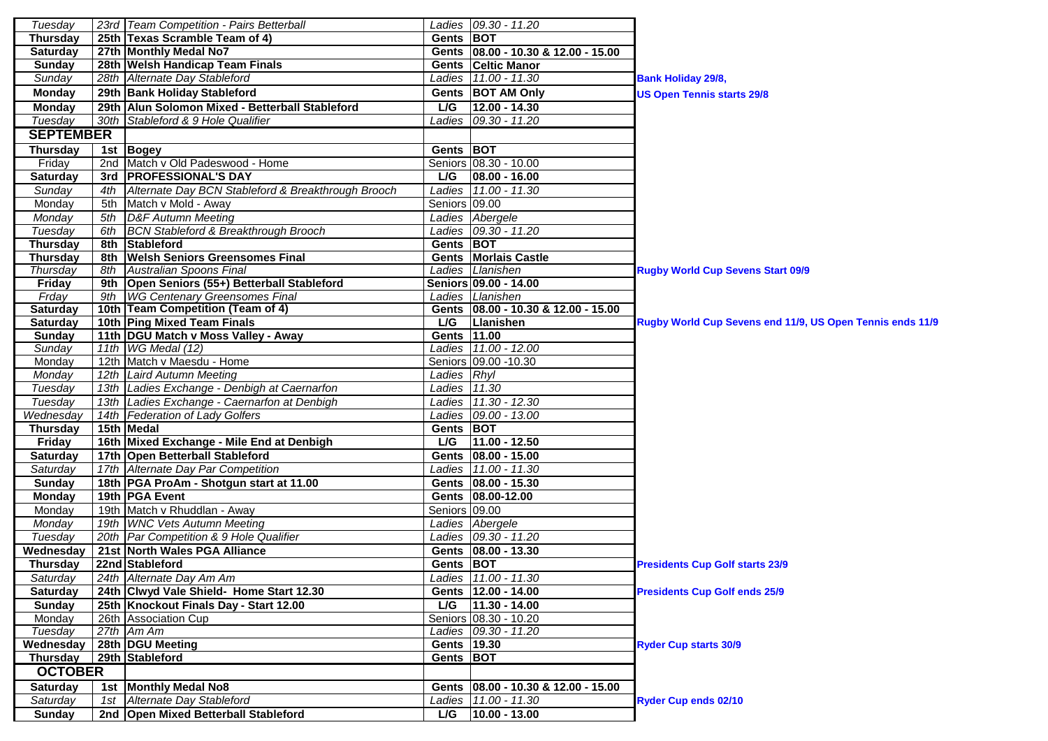| Tuesday          |     | 23rd   Team Competition - Pairs Betterball         |                | Ladies   09.30 - 11.20                |                                                           |
|------------------|-----|----------------------------------------------------|----------------|---------------------------------------|-----------------------------------------------------------|
| <b>Thursday</b>  |     | 25th Texas Scramble Team of 4)                     | Gents BOT      |                                       |                                                           |
| <b>Saturday</b>  |     | 27th Monthly Medal No7                             |                | Gents   08.00 - 10.30 & 12.00 - 15.00 |                                                           |
| <b>Sunday</b>    |     | 28th Welsh Handicap Team Finals                    |                | <b>Gents Celtic Manor</b>             |                                                           |
| Sunday           |     | 28th Alternate Day Stableford                      |                | Ladies 11.00 - 11.30                  | <b>Bank Holiday 29/8,</b>                                 |
| <b>Monday</b>    |     | 29th Bank Holiday Stableford                       |                | Gents BOT AM Only                     | <b>US Open Tennis starts 29/8</b>                         |
| <b>Monday</b>    |     | 29th Alun Solomon Mixed - Betterball Stableford    | L/G            | $12.00 - 14.30$                       |                                                           |
| Tuesday          |     | 30th Stableford & 9 Hole Qualifier                 |                | Ladies 09.30 - 11.20                  |                                                           |
| <b>SEPTEMBER</b> |     |                                                    |                |                                       |                                                           |
| <b>Thursday</b>  |     | 1st Bogey                                          | Gents BOT      |                                       |                                                           |
| Friday           |     | 2nd Match v Old Padeswood - Home                   |                | Seniors 08.30 - 10.00                 |                                                           |
| Saturday         |     | 3rd PROFESSIONAL'S DAY                             | L/G            | 08.00 - 16.00                         |                                                           |
| Sunday           | 4th | Alternate Day BCN Stableford & Breakthrough Brooch |                | Ladies 11.00 - 11.30                  |                                                           |
| Monday           | 5th | Match v Mold - Away                                | Seniors 09.00  |                                       |                                                           |
| Monday           |     | 5th D&F Autumn Meeting                             |                | Ladies Abergele                       |                                                           |
| Tuesday          |     | 6th BCN Stableford & Breakthrough Brooch           |                | Ladies 09.30 - 11.20                  |                                                           |
| <b>Thursday</b>  |     | 8th Stableford                                     | Gents BOT      |                                       |                                                           |
| <b>Thursday</b>  |     | 8th Welsh Seniors Greensomes Final                 |                | <b>Gents Morlais Castle</b>           |                                                           |
| Thursday         |     | 8th Australian Spoons Final                        |                | Ladies Llanishen                      | <b>Rugby World Cup Sevens Start 09/9</b>                  |
| <b>Friday</b>    |     | 9th Open Seniors (55+) Betterball Stableford       |                | Seniors 09.00 - 14.00                 |                                                           |
| Frday            |     | 9th   WG Centenary Greensomes Final                |                | Ladies Llanishen                      |                                                           |
| Saturday         |     | 10th Team Competition (Team of 4)                  |                | Gents 08.00 - 10.30 & 12.00 - 15.00   |                                                           |
| Saturday         |     | 10th Ping Mixed Team Finals                        | L/G            | Llanishen                             | Rugby World Cup Sevens end 11/9, US Open Tennis ends 11/9 |
| <b>Sunday</b>    |     | 11th   DGU Match v Moss Valley - Away              | Gents 11.00    |                                       |                                                           |
| Sunday           |     | 11th WG Medal (12)                                 |                | Ladies 11.00 - 12.00                  |                                                           |
| Monday           |     | 12th Match v Maesdu - Home                         |                | Seniors 09.00 - 10.30                 |                                                           |
| Monday           |     | 12th Laird Autumn Meeting                          | Ladies Rhyl    |                                       |                                                           |
| Tuesday          |     | 13th Ladies Exchange - Denbigh at Caernarfon       | Ladies $11.30$ |                                       |                                                           |
| Tuesday          |     | 13th Ladies Exchange - Caernarfon at Denbigh       |                | Ladies 11.30 - 12.30                  |                                                           |
| Wednesday        |     | 14th Federation of Lady Golfers                    |                | Ladies 09.00 - 13.00                  |                                                           |
| <b>Thursday</b>  |     | 15th Medal                                         | Gents BOT      |                                       |                                                           |
| <b>Friday</b>    |     | 16th Mixed Exchange - Mile End at Denbigh          | L/G            | $11.00 - 12.50$                       |                                                           |
| <b>Saturday</b>  |     | 17th Open Betterball Stableford                    |                | Gents   08.00 - 15.00                 |                                                           |
| Saturday         |     | 17th Alternate Day Par Competition                 |                | Ladies 11.00 - 11.30                  |                                                           |
| <b>Sunday</b>    |     | 18th   PGA ProAm - Shotgun start at 11.00          |                | Gents 08.00 - 15.30                   |                                                           |
| <b>Monday</b>    |     | 19th PGA Event                                     |                | Gents 08.00-12.00                     |                                                           |
| Monday           |     | 19th Match v Rhuddlan - Away                       | Seniors 09.00  |                                       |                                                           |
| Monday           |     | 19th WNC Vets Autumn Meeting                       |                | Ladies Abergele                       |                                                           |
| Tuesday          |     | 20th Par Competition & 9 Hole Qualifier            |                | Ladies 09.30 - 11.20                  |                                                           |
| Wednesday        |     | 21st North Wales PGA Alliance                      |                | Gents 08.00 - 13.30                   |                                                           |
| <b>Thursday</b>  |     | 22nd Stableford                                    | Gents BOT      |                                       | <b>Presidents Cup Golf starts 23/9</b>                    |
| Saturday         |     | 24th Alternate Day Am Am                           |                | Ladies 11.00 - 11.30                  |                                                           |
| <b>Saturday</b>  |     | 24th Clwyd Vale Shield- Home Start 12.30           |                | Gents   12.00 - 14.00                 | <b>Presidents Cup Golf ends 25/9</b>                      |
| <b>Sunday</b>    |     | 25th Knockout Finals Day - Start 12.00             |                | L/G   $11.30 - 14.00$                 |                                                           |
| Monday           |     | 26th Association Cup                               |                | Seniors 08.30 - 10.20                 |                                                           |
| Tuesday          |     | 27th Am Am                                         |                | Ladies 09.30 - 11.20                  |                                                           |
| Wednesday        |     | 28th DGU Meeting                                   | Gents 19.30    |                                       | <b>Ryder Cup starts 30/9</b>                              |
| <b>Thursday</b>  |     | 29th Stableford                                    | Gents BOT      |                                       |                                                           |
| <b>OCTOBER</b>   |     |                                                    |                |                                       |                                                           |
| <b>Saturday</b>  |     | 1st Monthly Medal No8                              |                | Gents   08.00 - 10.30 & 12.00 - 15.00 |                                                           |
| Saturday         |     | 1st Alternate Day Stableford                       |                | Ladies 11.00 - 11.30                  | <b>Ryder Cup ends 02/10</b>                               |
| <b>Sunday</b>    |     | 2nd Open Mixed Betterball Stableford               |                | L/G $ 10.00 - 13.00$                  |                                                           |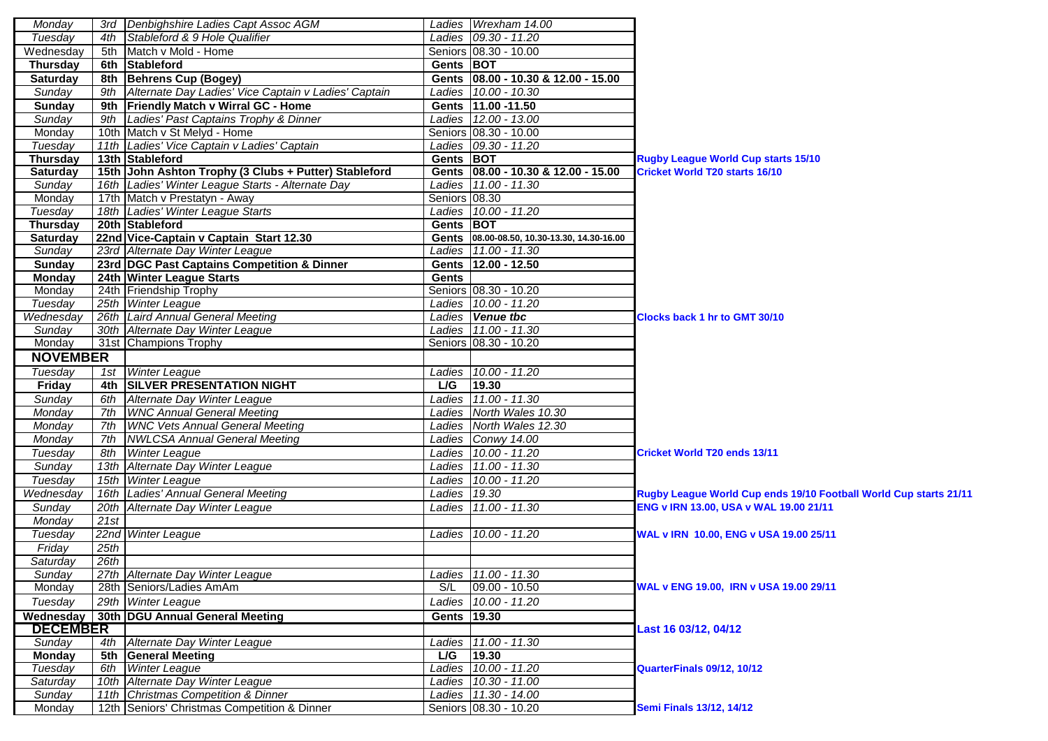| Monday          |      | 3rd Denbighshire Ladies Capt Assoc AGM                   |               | Ladies   Wrexham 14.00                      |                                                                   |
|-----------------|------|----------------------------------------------------------|---------------|---------------------------------------------|-------------------------------------------------------------------|
| Tuesday         | 4th  | Stableford & 9 Hole Qualifier                            |               | Ladies 09.30 - 11.20                        |                                                                   |
| Wednesday       | 5th  | Match v Mold - Home                                      |               | Seniors 08.30 - 10.00                       |                                                                   |
| <b>Thursday</b> |      | 6th Stableford                                           | Gents BOT     |                                             |                                                                   |
| <b>Saturday</b> |      | 8th Behrens Cup (Bogey)                                  |               | Gents 08.00 - 10.30 & 12.00 - 15.00         |                                                                   |
| Sunday          |      | 9th Alternate Day Ladies' Vice Captain v Ladies' Captain |               | Ladies 10.00 - 10.30                        |                                                                   |
| Sunday          |      | 9th Friendly Match v Wirral GC - Home                    |               | Gents 11.00 -11.50                          |                                                                   |
| Sunday          |      | 9th Ladies' Past Captains Trophy & Dinner                |               | Ladies 12.00 - 13.00                        |                                                                   |
| Monday          |      | 10th Match v St Melyd - Home                             |               | Seniors 08.30 - 10.00                       |                                                                   |
| Tuesday         |      | 11th Ladies' Vice Captain v Ladies' Captain              |               | Ladies 09.30 - 11.20                        |                                                                   |
| <b>Thursday</b> |      | 13th Stableford                                          | Gents BOT     |                                             | <b>Rugby League World Cup starts 15/10</b>                        |
| <b>Saturday</b> |      | 15th John Ashton Trophy (3 Clubs + Putter) Stableford    |               | Gents 08.00 - 10.30 & 12.00 - 15.00         | <b>Cricket World T20 starts 16/10</b>                             |
| Sunday          |      | 16th Ladies' Winter League Starts - Alternate Day        |               | Ladies 11.00 - 11.30                        |                                                                   |
| Monday          |      | 17th Match v Prestatyn - Away                            | Seniors 08.30 |                                             |                                                                   |
| Tuesday         |      | 18th Ladies' Winter League Starts                        |               | Ladies 10.00 - 11.20                        |                                                                   |
| <b>Thursday</b> |      | 20th Stableford                                          | Gents BOT     |                                             |                                                                   |
| <b>Saturday</b> |      | 22nd Vice-Captain v Captain Start 12.30                  |               | Gents 08.00-08.50, 10.30-13.30, 14.30-16.00 |                                                                   |
| Sunday          |      | 23rd Alternate Day Winter League                         |               | Ladies 11.00 - 11.30                        |                                                                   |
| <b>Sunday</b>   |      | 23rd DGC Past Captains Competition & Dinner              |               | Gents 12.00 - 12.50                         |                                                                   |
| <b>Monday</b>   |      | 24th Winter League Starts                                | <b>Gents</b>  |                                             |                                                                   |
| Monday          |      | 24th Friendship Trophy                                   |               | Seniors 08.30 - 10.20                       |                                                                   |
| Tuesday         |      | 25th Winter League                                       |               | Ladies 10.00 - 11.20                        |                                                                   |
| Wednesday       |      | 26th Laird Annual General Meeting                        |               | Ladies Venue tbc                            | <b>Clocks back 1 hr to GMT 30/10</b>                              |
| Sunday          |      | 30th Alternate Day Winter League                         |               | Ladies 11.00 - 11.30                        |                                                                   |
| Monday          |      | 31st Champions Trophy                                    |               | Seniors 08.30 - 10.20                       |                                                                   |
| <b>NOVEMBER</b> |      |                                                          |               |                                             |                                                                   |
| Tuesday         |      | 1st Winter League                                        |               | Ladies 10.00 - 11.20                        |                                                                   |
| Friday          |      | 4th SILVER PRESENTATION NIGHT                            | L/G           | 19.30                                       |                                                                   |
| Sunday          |      | 6th Alternate Day Winter League                          |               | Ladies 11.00 - 11.30                        |                                                                   |
| Monday          |      | 7th WNC Annual General Meeting                           |               | Ladies North Wales 10.30                    |                                                                   |
| Monday          | 7th  | <b>WNC Vets Annual General Meeting</b>                   |               | Ladies North Wales 12.30                    |                                                                   |
| Monday          |      | 7th   NWLCSA Annual General Meeting                      |               | Ladies Conwy 14.00                          |                                                                   |
| Tuesday         | 8th  | <b>Winter League</b>                                     |               | Ladies 10.00 - 11.20                        | <b>Cricket World T20 ends 13/11</b>                               |
| Sunday          |      | 13th Alternate Day Winter League                         |               | Ladies 11.00 - 11.30                        |                                                                   |
| Tuesday         |      | 15th Winter League                                       |               | Ladies 10.00 - 11.20                        |                                                                   |
| Wednesday       |      | 16th Ladies' Annual General Meeting                      | Ladies 19.30  |                                             | Rugby League World Cup ends 19/10 Football World Cup starts 21/11 |
| Sunday          |      | 20th Alternate Day Winter League                         |               | Ladies 11.00 - 11.30                        | ENG v IRN 13.00, USA v WAL 19.00 21/11                            |
| Monday          | 21st |                                                          |               |                                             |                                                                   |
| Tuesday         |      | 22nd Winter League                                       | Ladies        | 10.00 - 11.20                               | WAL v IRN 10.00, ENG v USA 19.00 25/11                            |
| Friday          | 25th |                                                          |               |                                             |                                                                   |
| Saturday        | 26th |                                                          |               |                                             |                                                                   |
| Sundav          |      | 27th Alternate Day Winter League                         |               | Ladies 11.00 - 11.30                        |                                                                   |
| Monday          |      | 28th Seniors/Ladies AmAm                                 | S/L           | $09.00 - 10.50$                             | WAL v ENG 19.00, IRN v USA 19.00 29/11                            |
| Tuesday         |      | 29th Winter League                                       | Ladies        | $10.00 - 11.20$                             |                                                                   |
|                 |      | Wednesday   30th   DGU Annual General Meeting            | Gents 19.30   |                                             |                                                                   |
| <b>DECEMBER</b> |      |                                                          |               |                                             | Last 16 03/12, 04/12                                              |
| Sunday          | 4th  | Alternate Day Winter League                              |               | Ladies 11.00 - 11.30                        |                                                                   |
| <b>Monday</b>   |      | 5th General Meeting                                      | L/G           | 19.30                                       |                                                                   |
| Tuesday         |      | 6th Winter League                                        |               | Ladies 10.00 - 11.20                        | QuarterFinals 09/12, 10/12                                        |
| Saturday        |      | 10th Alternate Day Winter League                         |               | Ladies 10.30 - 11.00                        |                                                                   |
| Sunday          |      | 11th Christmas Competition & Dinner                      |               | Ladies 11.30 - 14.00                        |                                                                   |
| Monday          |      | 12th Seniors' Christmas Competition & Dinner             |               | Seniors 08.30 - 10.20                       | <b>Semi Finals 13/12, 14/12</b>                                   |